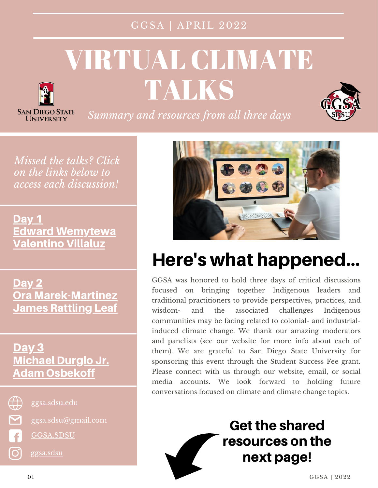#### GGSA | APRIL 2022

# VIRTUAL CLIMATE TALKS



**SAN DIEGO STATE I INIVERSITY** 

*Summary and resources from all three days*

*Missed the talks? Click on the links below to access each discussion!*

[Day](https://sdsu.zoom.us/rec/share/6Zlx1wCsM9JQjSPRWq_UKc1-_NeS1XKMrjby17jPRUYZ5BoE96_1ijGdtC6I0i9h.FgUGG1U11Xkegkmm) 1 Edward [Wemytewa](https://sdsu.zoom.us/rec/share/6Zlx1wCsM9JQjSPRWq_UKc1-_NeS1XKMrjby17jPRUYZ5BoE96_1ijGdtC6I0i9h.FgUGG1U11Xkegkmm) [Valentino](https://sdsu.zoom.us/rec/share/6Zlx1wCsM9JQjSPRWq_UKc1-_NeS1XKMrjby17jPRUYZ5BoE96_1ijGdtC6I0i9h.FgUGG1U11Xkegkmm) Villaluz

[Day](https://sdsu.zoom.us/rec/share/D8rl68N6cElp1ity5UZlX6XdGI2kEpXFAJTg8ezyX7gE1siSWtk6jgCo4wBhGoxd.9p0XnO0UKA-qcXXU) 2 Ora [Marek-Martinez](https://sdsu.zoom.us/rec/share/D8rl68N6cElp1ity5UZlX6XdGI2kEpXFAJTg8ezyX7gE1siSWtk6jgCo4wBhGoxd.9p0XnO0UKA-qcXXU) **James [Rattling](https://sdsu.zoom.us/rec/share/D8rl68N6cElp1ity5UZlX6XdGI2kEpXFAJTg8ezyX7gE1siSWtk6jgCo4wBhGoxd.9p0XnO0UKA-qcXXU) Leaf** 

#### [Day](https://sdsu.zoom.us/rec/share/4c6-wvnLYSmcwRCMtWXu89lGM5_WBsZvxsFA9W-h0PPEt_dzAF8U4H1oXbroa3us.6LHKCxeIc5lzcl1A) 3 [Michael](https://sdsu.zoom.us/rec/share/4c6-wvnLYSmcwRCMtWXu89lGM5_WBsZvxsFA9W-h0PPEt_dzAF8U4H1oXbroa3us.6LHKCxeIc5lzcl1A) Durglo Jr. Adam [Osbekoff](https://sdsu.zoom.us/rec/share/4c6-wvnLYSmcwRCMtWXu89lGM5_WBsZvxsFA9W-h0PPEt_dzAF8U4H1oXbroa3us.6LHKCxeIc5lzcl1A)



<u>ල</u>

[ggsa.sdsu.edu](http://ggsa.sdsu.edu/)

ggsa.sdsu@gmail.com

[GGSA.SDSU](https://www.facebook.com/GGSA.SDSU/)

[ggsa.sdsu](https://www.instagram.com/ggsa.sdsu/)



# Here's what happened...

GGSA was honored to hold three days of critical discussions focused on bringing together Indigenous leaders and traditional practitioners to provide perspectives, practices, and wisdom- and the associated challenges Indigenous communities may be facing related to colonial- and industrialinduced climate change. We thank our amazing moderators and panelists (see our [website](https://ggsa.sdsu.edu/ggsas-2021-virtual-climate-talks/) for more info about each of them). We are grateful to San Diego State University for sponsoring this event through the Student Success Fee grant. Please connect with us through our website, email, or social media accounts. We look forward to holding future conversations focused on climate and climate change topics.

## **Get the shared** resources on the next page!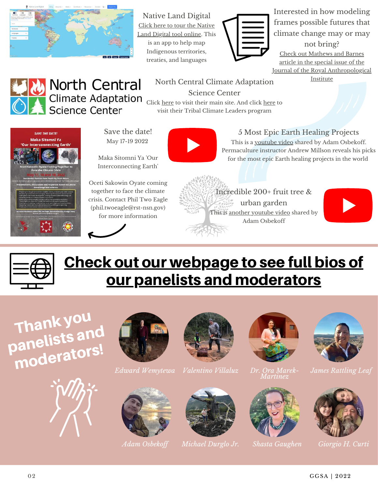

Native Land Digital Click here to tour the Native Land Digital tool [online.](https://native-land.ca/) This is an app to help map Indigenous territories, treaties, and languages



Interested in how modeling frames possible futures that climate change may or may not bring? Check out Mathews and Barnes article in the special issue of the Journal of the Royal [Anthropological](https://doi.org/10.1111/1467-9655.12391) Institute

### **North Central Climate Adaptation Science Center**

North Central Climate Adaptation Science Center

[Click](https://native-land.ca/) [here](https://nccasc.colorado.edu/) to visit their main site. And click [here](https://nccasc.colorado.edu/tribal-climate-leaders-program) to visit their Tribal Climate Leaders program



Save the date! May 17-19 2022

Maka Sitomni Ya 'Our Interconnecting Earth'

Oceti Sakowin Oyate coming together to face the climate crisis. Contact Phil Two Eagle (phil.twoeagle@rst-nsn.gov) for more information

5 Most Epic Earth Healing Projects

This is a [youtube](https://www.youtube.com/watch?app=desktop&v=Tpozw1CAxmU) video shared by Adam Osbekoff. Permaculture instructor Andrew Millson reveals his picks for the most epic Earth healing projects in the world







## Check out our webpage to see full bios of our panelists and [moderators](https://ggsa.sdsu.edu/2022-climate-talks/)



















*Adam Osbekof Michael Durglo Jr. Shasta Gaughen Giorgio H. Curti*